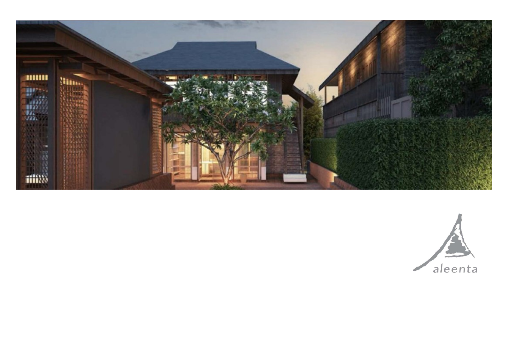

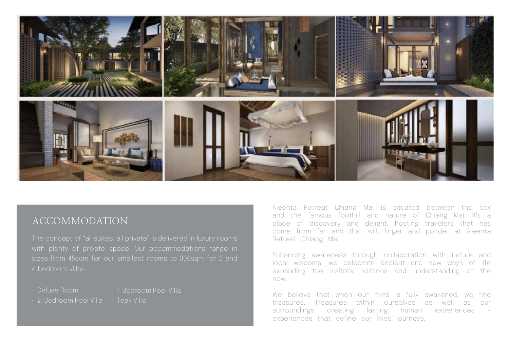

## ACCOMMODATION

The concept of "all suites, all private" is delivered in luxury rooms with plenty of private space. Our accommodations range in sizes from 45sqm for our smallest rooms to 300sqm for 2 and 4 bedroom villas.

- 
- Deluxe Room 1-Bedroom Pool Villa
- 2-Bedroom Pool Villa Teak Villa

Aleenta Retreat Chiang Mai is situated between the city and the famous foothill and nature of Chiang Mai. It's a place of discovery and delight, hosting travelers that has come from far and that will, linger and ponder at Aleenta Retreat Chiang Mai.

Enhancing awareness through collaboration with nature and local wisdoms, we celebrate ancient and new ways of life expanding the visitors horizons and understanding of the now.

We believe that when our mind is fully awakened, we find treasures. Treasures within ourselves as well as our surroundings creating lasting human experiences – experiences that define our lives journeys.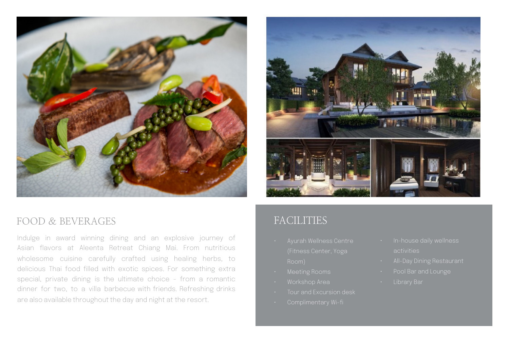



## FOOD & BEVERAGES

Indulge in award winning dining and an explosive journey of Asian flavors at Aleenta Retreat Chiang Mai. From nutritious wholesome cuisine carefully crafted using healing herbs, to delicious Thai food filled with exotic spices. For something extra special, private dining is the ultimate choice - from a romantic dinner for two, to a villa barbecue with friends. Refreshing drinks are also available throughout the day and night at the resort.

## FACILITIES

- 
- 
- 
- Tour and Excursion desk
- 
- 
- 
- 
-